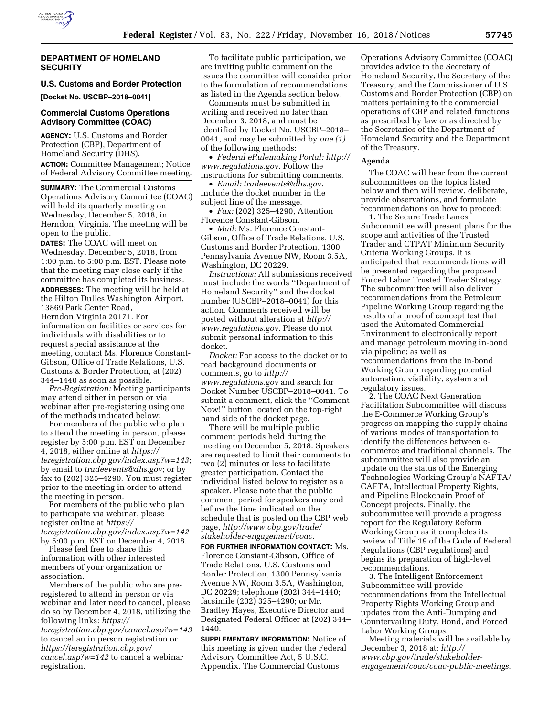

## **DEPARTMENT OF HOMELAND SECURITY**

### **U.S. Customs and Border Protection**

**[Docket No. USCBP–2018–0041]** 

## **Commercial Customs Operations Advisory Committee (COAC)**

**AGENCY:** U.S. Customs and Border Protection (CBP), Department of Homeland Security (DHS). **ACTION:** Committee Management; Notice of Federal Advisory Committee meeting.

**SUMMARY:** The Commercial Customs Operations Advisory Committee (COAC) will hold its quarterly meeting on Wednesday, December 5, 2018, in Herndon, Virginia. The meeting will be open to the public.

**DATES:** The COAC will meet on Wednesday, December 5, 2018, from 1:00 p.m. to 5:00 p.m. EST. Please note that the meeting may close early if the committee has completed its business. **ADDRESSES:** The meeting will be held at the Hilton Dulles Washington Airport, 13869 Park Center Road, Herndon,Virginia 20171. For information on facilities or services for individuals with disabilities or to request special assistance at the meeting, contact Ms. Florence Constant-Gibson, Office of Trade Relations, U.S. Customs & Border Protection, at (202) 344–1440 as soon as possible.

*Pre-Registration:* Meeting participants may attend either in person or via webinar after pre-registering using one of the methods indicated below:

For members of the public who plan to attend the meeting in person, please register by 5:00 p.m. EST on December 4, 2018, either online at *[https://](https://teregistration.cbp.gov/index.asp?w=143) [teregistration.cbp.gov/index.asp?w=143](https://teregistration.cbp.gov/index.asp?w=143)*; by email to *[tradeevents@dhs.gov](mailto:tradeevents@dhs.gov)*; or by fax to (202) 325–4290. You must register prior to the meeting in order to attend the meeting in person.

For members of the public who plan to participate via webinar, please register online at *[https://](https://teregistration.cbp.gov/index.asp?w=142) [teregistration.cbp.gov/index.asp?w=142](https://teregistration.cbp.gov/index.asp?w=142)*  by 5:00 p.m. EST on December 4, 2018.

Please feel free to share this information with other interested members of your organization or association.

Members of the public who are preregistered to attend in person or via webinar and later need to cancel, please do so by December 4, 2018, utilizing the following links: *[https://](https://teregistration.cbp.gov/cancel.asp?w=143) [teregistration.cbp.gov/cancel.asp?w=143](https://teregistration.cbp.gov/cancel.asp?w=143)*  to cancel an in person registration or *[https://teregistration.cbp.gov/](https://teregistration.cbp.gov/cancel.asp?w=142)  [cancel.asp?w=142](https://teregistration.cbp.gov/cancel.asp?w=142)* to cancel a webinar registration.

To facilitate public participation, we are inviting public comment on the issues the committee will consider prior to the formulation of recommendations as listed in the Agenda section below.

Comments must be submitted in writing and received no later than December 3, 2018, and must be identified by Docket No. USCBP–2018– 0041, and may be submitted by *one (1)*  of the following methods:

• *Federal eRulemaking Portal: [http://](http://www.regulations.gov)  [www.regulations.gov](http://www.regulations.gov)*. Follow the instructions for submitting comments.

• *Email: [tradeevents@dhs.gov](mailto:tradeevents@dhs.gov)*. Include the docket number in the subject line of the message.

• *Fax:* (202) 325–4290, Attention Florence Constant-Gibson.

• *Mail:* Ms. Florence Constant-Gibson, Office of Trade Relations, U.S. Customs and Border Protection, 1300 Pennsylvania Avenue NW, Room 3.5A, Washington, DC 20229.

*Instructions:* All submissions received must include the words ''Department of Homeland Security'' and the docket number (USCBP–2018–0041) for this action. Comments received will be posted without alteration at *[http://](http://www.regulations.gov) [www.regulations.gov](http://www.regulations.gov)*. Please do not submit personal information to this docket.

*Docket:* For access to the docket or to read background documents or comments, go to *[http://](http://www.regulations.gov) [www.regulations.gov](http://www.regulations.gov)* and search for Docket Number USCBP–2018–0041. To submit a comment, click the ''Comment Now!'' button located on the top-right hand side of the docket page.

There will be multiple public comment periods held during the meeting on December 5, 2018. Speakers are requested to limit their comments to two (2) minutes or less to facilitate greater participation. Contact the individual listed below to register as a speaker. Please note that the public comment period for speakers may end before the time indicated on the schedule that is posted on the CBP web page, *[http://www.cbp.gov/trade/](http://www.cbp.gov/trade/stakeholder-engagement/coac)  [stakeholder-engagement/coac](http://www.cbp.gov/trade/stakeholder-engagement/coac)*.

**FOR FURTHER INFORMATION CONTACT:** Ms. Florence Constant-Gibson, Office of Trade Relations, U.S. Customs and Border Protection, 1300 Pennsylvania Avenue NW, Room 3.5A, Washington, DC 20229; telephone (202) 344–1440; facsimile (202) 325–4290; or Mr. Bradley Hayes, Executive Director and Designated Federal Officer at (202) 344– 1440.

**SUPPLEMENTARY INFORMATION:** Notice of this meeting is given under the Federal Advisory Committee Act, 5 U.S.C. Appendix. The Commercial Customs

Operations Advisory Committee (COAC) provides advice to the Secretary of Homeland Security, the Secretary of the Treasury, and the Commissioner of U.S. Customs and Border Protection (CBP) on matters pertaining to the commercial operations of CBP and related functions as prescribed by law or as directed by the Secretaries of the Department of Homeland Security and the Department of the Treasury.

#### **Agenda**

The COAC will hear from the current subcommittees on the topics listed below and then will review, deliberate, provide observations, and formulate recommendations on how to proceed:

1. The Secure Trade Lanes Subcommittee will present plans for the scope and activities of the Trusted Trader and CTPAT Minimum Security Criteria Working Groups. It is anticipated that recommendations will be presented regarding the proposed Forced Labor Trusted Trader Strategy. The subcommittee will also deliver recommendations from the Petroleum Pipeline Working Group regarding the results of a proof of concept test that used the Automated Commercial Environment to electronically report and manage petroleum moving in-bond via pipeline; as well as recommendations from the In-bond Working Group regarding potential automation, visibility, system and regulatory issues.

2. The COAC Next Generation Facilitation Subcommittee will discuss the E-Commerce Working Group's progress on mapping the supply chains of various modes of transportation to identify the differences between ecommerce and traditional channels. The subcommittee will also provide an update on the status of the Emerging Technologies Working Group's NAFTA/ CAFTA, Intellectual Property Rights, and Pipeline Blockchain Proof of Concept projects. Finally, the subcommittee will provide a progress report for the Regulatory Reform Working Group as it completes its review of Title 19 of the Code of Federal Regulations (CBP regulations) and begins its preparation of high-level recommendations.

3. The Intelligent Enforcement Subcommittee will provide recommendations from the Intellectual Property Rights Working Group and updates from the Anti-Dumping and Countervailing Duty, Bond, and Forced Labor Working Groups.

Meeting materials will be available by December 3, 2018 at: *[http://](http://www.cbp.gov/trade/stakeholder-engagement/coac/coac-public-meetings) [www.cbp.gov/trade/stakeholder](http://www.cbp.gov/trade/stakeholder-engagement/coac/coac-public-meetings)[engagement/coac/coac-public-meetings](http://www.cbp.gov/trade/stakeholder-engagement/coac/coac-public-meetings)*.